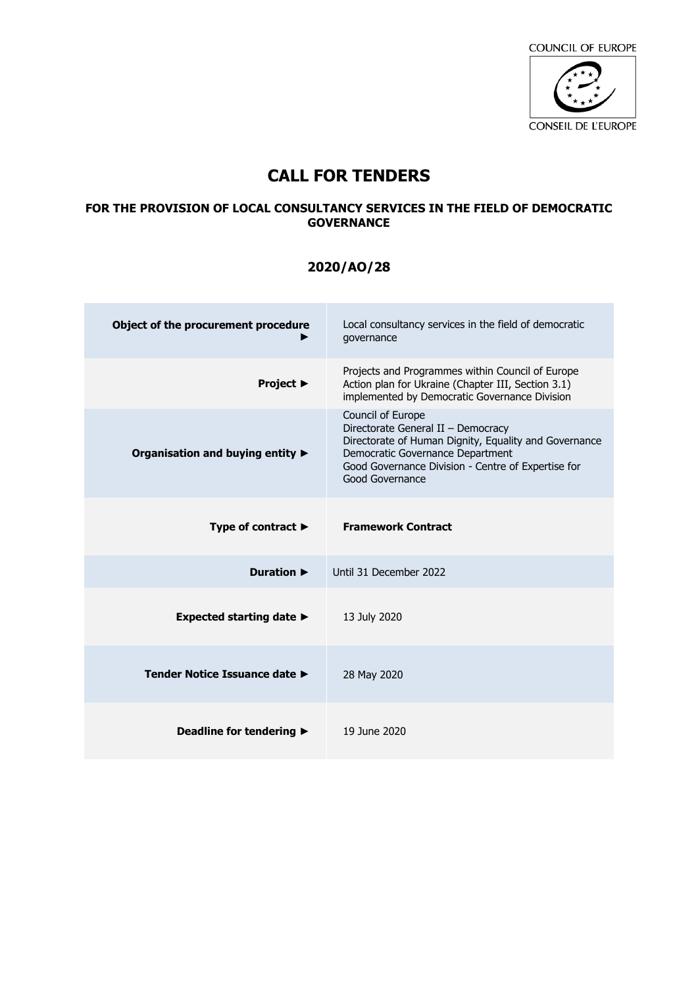

# **CALL FOR TENDERS**

### **FOR THE PROVISION OF LOCAL CONSULTANCY SERVICES IN THE FIELD OF DEMOCRATIC GOVERNANCE**

## **2020/AO/28**

| Object of the procurement procedure          | Local consultancy services in the field of democratic<br>qovernance                                                                                                                                                           |
|----------------------------------------------|-------------------------------------------------------------------------------------------------------------------------------------------------------------------------------------------------------------------------------|
| <b>Project ▶</b>                             | Projects and Programmes within Council of Europe<br>Action plan for Ukraine (Chapter III, Section 3.1)<br>implemented by Democratic Governance Division                                                                       |
| Organisation and buying entity ▶             | Council of Europe<br>Directorate General II - Democracy<br>Directorate of Human Dignity, Equality and Governance<br>Democratic Governance Department<br>Good Governance Division - Centre of Expertise for<br>Good Governance |
| Type of contract $\blacktriangleright$       | <b>Framework Contract</b>                                                                                                                                                                                                     |
| <b>Duration ▶</b>                            | Until 31 December 2022                                                                                                                                                                                                        |
| Expected starting date $\blacktriangleright$ | 13 July 2020                                                                                                                                                                                                                  |
| Tender Notice Issuance date ►                | 28 May 2020                                                                                                                                                                                                                   |
| Deadline for tendering $\blacktriangleright$ | 19 June 2020                                                                                                                                                                                                                  |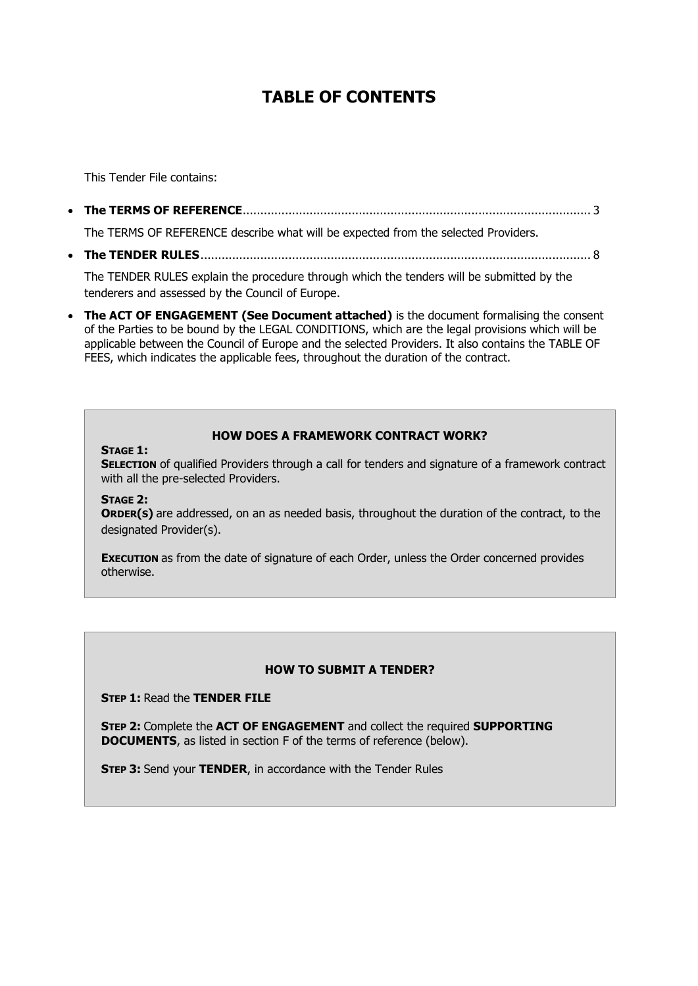# **TABLE OF CONTENTS**

This Tender File contains:

• **The TERMS OF REFERENCE**[...................................................................................................](#page-2-0) 3

The TERMS OF REFERENCE describe what will be expected from the selected Providers.

• **The TENDER RULES**[...............................................................................................................](#page-6-0) 8

The TENDER RULES explain the procedure through which the tenders will be submitted by the tenderers and assessed by the Council of Europe.

• **The ACT OF ENGAGEMENT (See Document attached)** is the document formalising the consent of the Parties to be bound by the LEGAL CONDITIONS, which are the legal provisions which will be applicable between the Council of Europe and the selected Providers. It also contains the TABLE OF FEES, which indicates the applicable fees, throughout the duration of the contract.

#### **HOW DOES A FRAMEWORK CONTRACT WORK?**

#### **STAGE 1:**

**SELECTION** of qualified Providers through a call for tenders and signature of a framework contract with all the pre-selected Providers.

**STAGE 2:**

**ORDER(S)** are addressed, on an as needed basis, throughout the duration of the contract, to the designated Provider(s).

**EXECUTION** as from the date of signature of each Order, unless the Order concerned provides otherwise.

#### **HOW TO SUBMIT A TENDER?**

**STEP 1:** Read the **TENDER FILE**

**STEP 2:** Complete the **ACT OF ENGAGEMENT** and collect the required **SUPPORTING DOCUMENTS**, as listed in section F of the terms of reference (below).

**STEP 3:** Send your **TENDER**, in accordance with the Tender Rules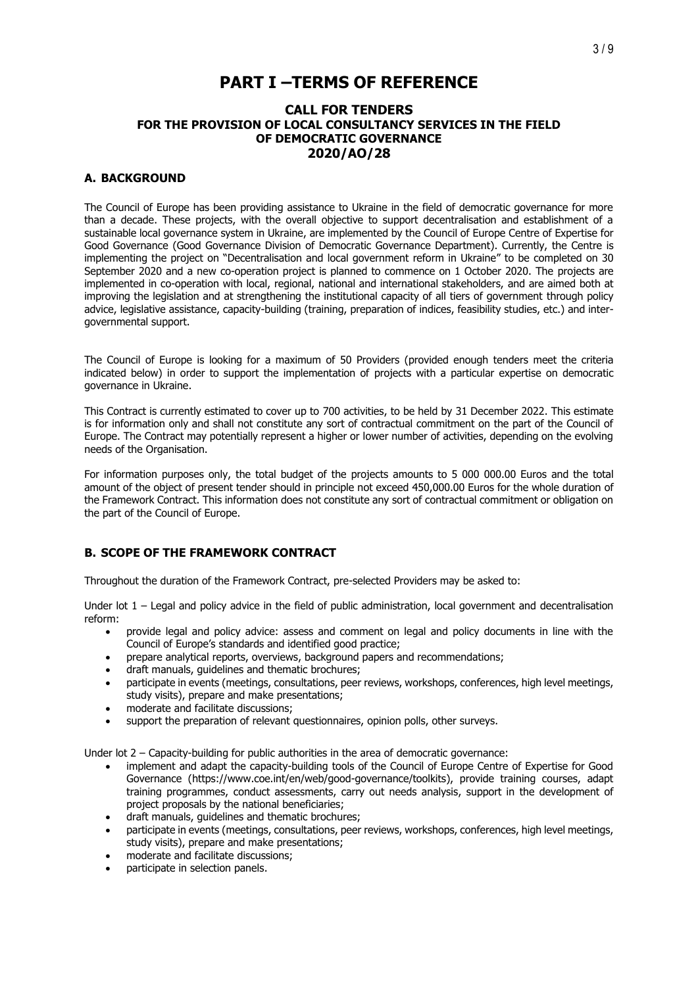# **PART I –TERMS OF REFERENCE**

#### <span id="page-2-0"></span>**CALL FOR TENDERS FOR THE PROVISION OF LOCAL CONSULTANCY SERVICES IN THE FIELD OF DEMOCRATIC GOVERNANCE 2020/AO/28**

#### **A. BACKGROUND**

The Council of Europe has been providing assistance to Ukraine in the field of democratic governance for more than a decade. These projects, with the overall objective to support decentralisation and establishment of a sustainable local governance system in Ukraine, are implemented by the Council of Europe Centre of Expertise for Good Governance (Good Governance Division of Democratic Governance Department). Currently, the Centre is implementing the project on "Decentralisation and local government reform in Ukraine" to be completed on 30 September 2020 and a new co-operation project is planned to commence on 1 October 2020. The projects are implemented in co-operation with local, regional, national and international stakeholders, and are aimed both at improving the legislation and at strengthening the institutional capacity of all tiers of government through policy advice, legislative assistance, capacity-building (training, preparation of indices, feasibility studies, etc.) and intergovernmental support.

The Council of Europe is looking for a maximum of 50 Providers (provided enough tenders meet the criteria indicated below) in order to support the implementation of projects with a particular expertise on democratic governance in Ukraine.

This Contract is currently estimated to cover up to 700 activities, to be held by 31 December 2022. This estimate is for information only and shall not constitute any sort of contractual commitment on the part of the Council of Europe. The Contract may potentially represent a higher or lower number of activities, depending on the evolving needs of the Organisation.

For information purposes only, the total budget of the projects amounts to 5 000 000.00 Euros and the total amount of the object of present tender should in principle not exceed 450,000.00 Euros for the whole duration of the Framework Contract. This information does not constitute any sort of contractual commitment or obligation on the part of the Council of Europe.

#### **B. SCOPE OF THE FRAMEWORK CONTRACT**

Throughout the duration of the Framework Contract, pre-selected Providers may be asked to:

Under lot 1 – Legal and policy advice in the field of public administration, local government and decentralisation reform:

- provide legal and policy advice: assess and comment on legal and policy documents in line with the Council of Europe's standards and identified good practice;
- prepare analytical reports, overviews, background papers and recommendations;
- draft manuals, guidelines and thematic brochures;
- participate in events (meetings, consultations, peer reviews, workshops, conferences, high level meetings, study visits), prepare and make presentations;
- moderate and facilitate discussions;
- support the preparation of relevant questionnaires, opinion polls, other surveys.

Under lot 2 – Capacity-building for public authorities in the area of democratic governance:

- implement and adapt the capacity-building tools of the Council of Europe Centre of Expertise for Good Governance [\(https://www.coe.int/en/web/good-governance/toolkits\)](https://www.coe.int/en/web/good-governance/toolkits), provide training courses, adapt training programmes, conduct assessments, carry out needs analysis, support in the development of project proposals by the national beneficiaries;
- draft manuals, guidelines and thematic brochures;
- participate in events (meetings, consultations, peer reviews, workshops, conferences, high level meetings, study visits), prepare and make presentations;
- moderate and facilitate discussions;
- participate in selection panels.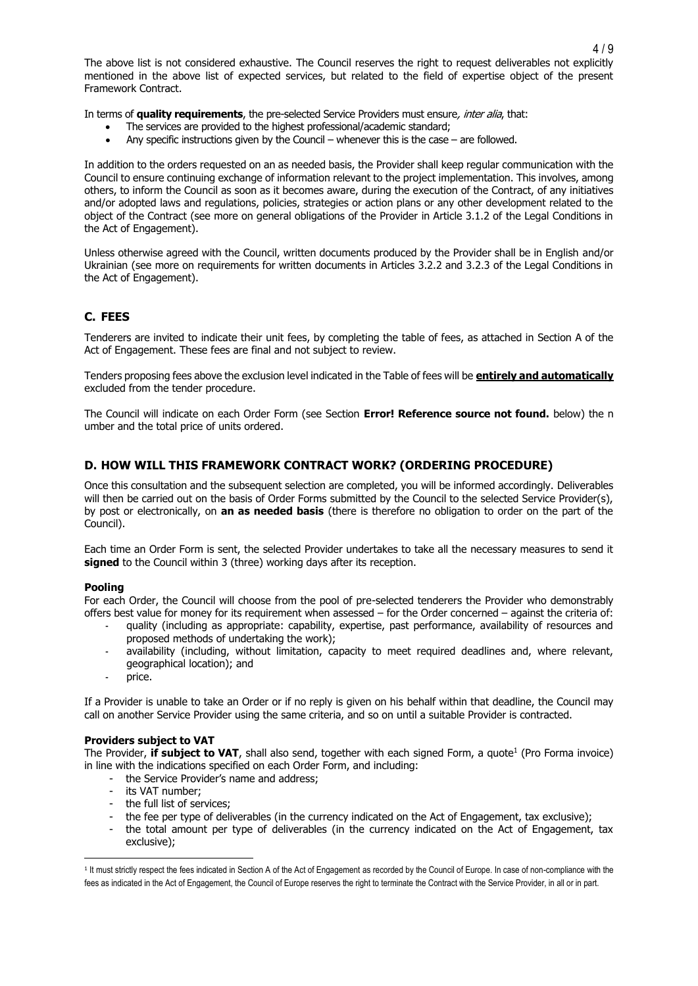The above list is not considered exhaustive. The Council reserves the right to request deliverables not explicitly mentioned in the above list of expected services, but related to the field of expertise object of the present Framework Contract.

In terms of **quality requirements**, the pre-selected Service Providers must ensure, inter alia, that:

- The services are provided to the highest professional/academic standard;
- Any specific instructions given by the Council whenever this is the case are followed.

In addition to the orders requested on an as needed basis, the Provider shall keep regular communication with the Council to ensure continuing exchange of information relevant to the project implementation. This involves, among others, to inform the Council as soon as it becomes aware, during the execution of the Contract, of any initiatives and/or adopted laws and regulations, policies, strategies or action plans or any other development related to the object of the Contract (see more on general obligations of the Provider in Article 3.1.2 of the Legal Conditions in the Act of Engagement).

Unless otherwise agreed with the Council, written documents produced by the Provider shall be in English and/or Ukrainian (see more on requirements for written documents in Articles 3.2.2 and 3.2.3 of the Legal Conditions in the Act of Engagement).

#### **C. FEES**

Tenderers are invited to indicate their unit fees, by completing the table of fees, as attached in Section A of the Act of Engagement. These fees are final and not subject to review.

Tenders proposing fees above the exclusion level indicated in the Table of fees will be **entirely and automatically** excluded from the tender procedure.

The Council will indicate on each Order Form (see Section **Error! Reference source not found.** below) the n umber and the total price of units ordered.

#### **D. HOW WILL THIS FRAMEWORK CONTRACT WORK? (ORDERING PROCEDURE)**

Once this consultation and the subsequent selection are completed, you will be informed accordingly. Deliverables will then be carried out on the basis of Order Forms submitted by the Council to the selected Service Provider(s), by post or electronically, on **an as needed basis** (there is therefore no obligation to order on the part of the Council).

Each time an Order Form is sent, the selected Provider undertakes to take all the necessary measures to send it signed to the Council within 3 (three) working days after its reception.

#### **Pooling**

For each Order, the Council will choose from the pool of pre-selected tenderers the Provider who demonstrably offers best value for money for its requirement when assessed – for the Order concerned – against the criteria of:

- quality (including as appropriate: capability, expertise, past performance, availability of resources and proposed methods of undertaking the work);
- availability (including, without limitation, capacity to meet required deadlines and, where relevant, geographical location); and
- price.

If a Provider is unable to take an Order or if no reply is given on his behalf within that deadline, the Council may call on another Service Provider using the same criteria, and so on until a suitable Provider is contracted.

#### **Providers subject to VAT**

The Provider, **if subject to VAT**, shall also send, together with each signed Form, a quote<sup>1</sup> (Pro Forma invoice) in line with the indications specified on each Order Form, and including:

- the Service Provider's name and address;
- its VAT number;
- the full list of services;
- the fee per type of deliverables (in the currency indicated on the Act of Engagement, tax exclusive);
- the total amount per type of deliverables (in the currency indicated on the Act of Engagement, tax exclusive);

<sup>&</sup>lt;sup>1</sup> It must strictly respect the fees indicated in Section A of the Act of Engagement as recorded by the Council of Europe. In case of non-compliance with the fees as indicated in the Act of Engagement, the Council of Europe reserves the right to terminate the Contract with the Service Provider, in all or in part.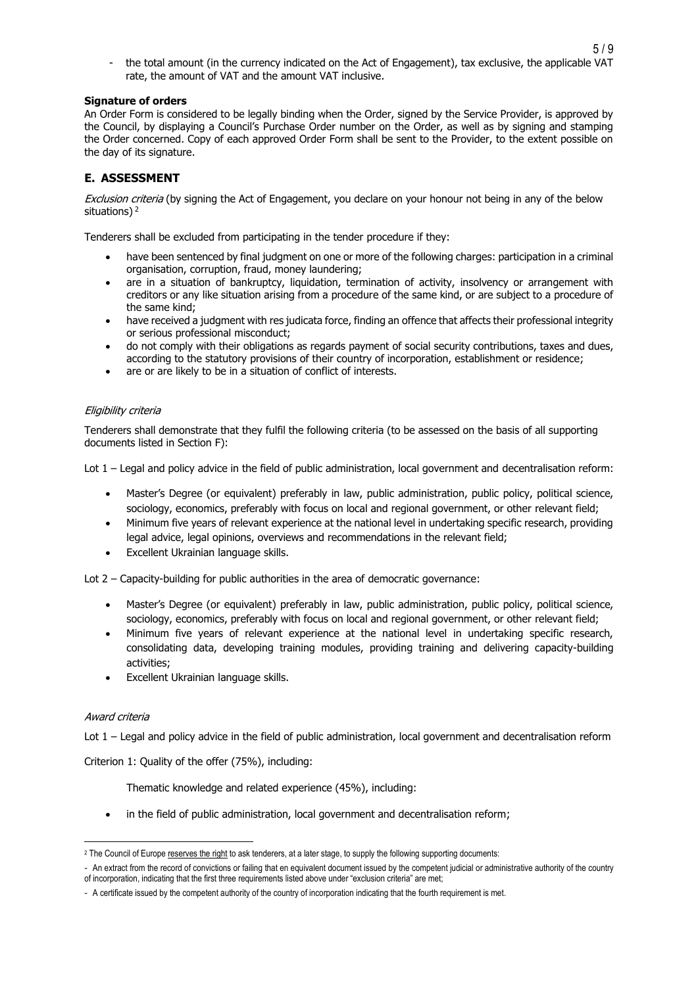- the total amount (in the currency indicated on the Act of Engagement), tax exclusive, the applicable VAT rate, the amount of VAT and the amount VAT inclusive.

#### **Signature of orders**

An Order Form is considered to be legally binding when the Order, signed by the Service Provider, is approved by the Council, by displaying a Council's Purchase Order number on the Order, as well as by signing and stamping the Order concerned. Copy of each approved Order Form shall be sent to the Provider, to the extent possible on the day of its signature.

#### **E. ASSESSMENT**

Exclusion criteria (by signing the Act of Engagement, you declare on your honour not being in any of the below situations)<sup>2</sup>

Tenderers shall be excluded from participating in the tender procedure if they:

- have been sentenced by final judgment on one or more of the following charges: participation in a criminal organisation, corruption, fraud, money laundering;
- are in a situation of bankruptcy, liquidation, termination of activity, insolvency or arrangement with creditors or any like situation arising from a procedure of the same kind, or are subject to a procedure of the same kind;
- have received a judgment with res judicata force, finding an offence that affects their professional integrity or serious professional misconduct;
- do not comply with their obligations as regards payment of social security contributions, taxes and dues, according to the statutory provisions of their country of incorporation, establishment or residence;
- are or are likely to be in a situation of conflict of interests.

#### Eligibility criteria

Tenderers shall demonstrate that they fulfil the following criteria (to be assessed on the basis of all supporting documents listed in Section F):

Lot 1 – Legal and policy advice in the field of public administration, local government and decentralisation reform:

- Master's Degree (or equivalent) preferably in law, public administration, public policy, political science, sociology, economics, preferably with focus on local and regional government, or other relevant field;
- Minimum five years of relevant experience at the national level in undertaking specific research, providing legal advice, legal opinions, overviews and recommendations in the relevant field;
- Excellent Ukrainian language skills.

Lot 2 – Capacity-building for public authorities in the area of democratic governance:

- Master's Degree (or equivalent) preferably in law, public administration, public policy, political science, sociology, economics, preferably with focus on local and regional government, or other relevant field;
- Minimum five years of relevant experience at the national level in undertaking specific research, consolidating data, developing training modules, providing training and delivering capacity-building activities;
- Excellent Ukrainian language skills.

#### Award criteria

Lot 1 – Legal and policy advice in the field of public administration, local government and decentralisation reform

Criterion 1: Quality of the offer (75%), including:

Thematic knowledge and related experience (45%), including:

in the field of public administration, local government and decentralisation reform;

<sup>&</sup>lt;sup>2</sup> The Council of Europe reserves the right to ask tenderers, at a later stage, to supply the following supporting documents:

<sup>-</sup> An extract from the record of convictions or failing that en equivalent document issued by the competent judicial or administrative authority of the country of incorporation, indicating that the first three requirements listed above under "exclusion criteria" are met;

<sup>-</sup> A certificate issued by the competent authority of the country of incorporation indicating that the fourth requirement is met.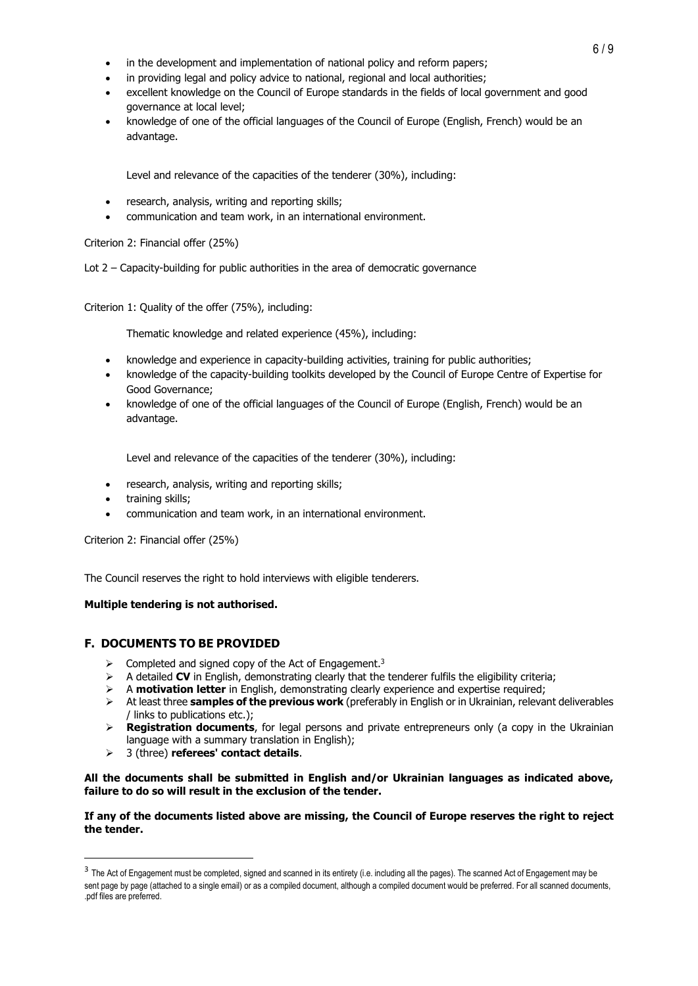- in the development and implementation of national policy and reform papers;
- in providing legal and policy advice to national, regional and local authorities;
- excellent knowledge on the Council of Europe standards in the fields of local government and good governance at local level;
- knowledge of one of the official languages of the Council of Europe (English, French) would be an advantage.

Level and relevance of the capacities of the tenderer (30%), including:

- research, analysis, writing and reporting skills;
- communication and team work, in an international environment.

Criterion 2: Financial offer (25%)

Lot 2 – Capacity-building for public authorities in the area of democratic governance

Criterion 1: Quality of the offer (75%), including:

Thematic knowledge and related experience (45%), including:

- knowledge and experience in capacity-building activities, training for public authorities;
- knowledge of the capacity-building toolkits developed by the Council of Europe Centre of Expertise for Good Governance;
- knowledge of one of the official languages of the Council of Europe (English, French) would be an advantage.

Level and relevance of the capacities of the tenderer (30%), including:

- research, analysis, writing and reporting skills;
- training skills;
- communication and team work, in an international environment.

Criterion 2: Financial offer (25%)

The Council reserves the right to hold interviews with eligible tenderers.

#### **Multiple tendering is not authorised.**

#### **F. DOCUMENTS TO BE PROVIDED**

- $\geq$  Completed and signed copy of the Act of Engagement.<sup>3</sup>
- ➢ A detailed **CV** in English, demonstrating clearly that the tenderer fulfils the eligibility criteria;
- ➢ A **motivation letter** in English, demonstrating clearly experience and expertise required;
- ➢ At least three **samples of the previous work** (preferably in English or in Ukrainian, relevant deliverables / links to publications etc.);
- ➢ **Registration documents**, for legal persons and private entrepreneurs only (a copy in the Ukrainian language with a summary translation in English);
- ➢ 3 (three) **referees' contact details**.

#### **All the documents shall be submitted in English and/or Ukrainian languages as indicated above, failure to do so will result in the exclusion of the tender.**

#### **If any of the documents listed above are missing, the Council of Europe reserves the right to reject the tender.**

<sup>&</sup>lt;sup>3</sup> The Act of Engagement must be completed, signed and scanned in its entirety (i.e. including all the pages). The scanned Act of Engagement may be sent page by page (attached to a single email) or as a compiled document, although a compiled document would be preferred. For all scanned documents, .pdf files are preferred.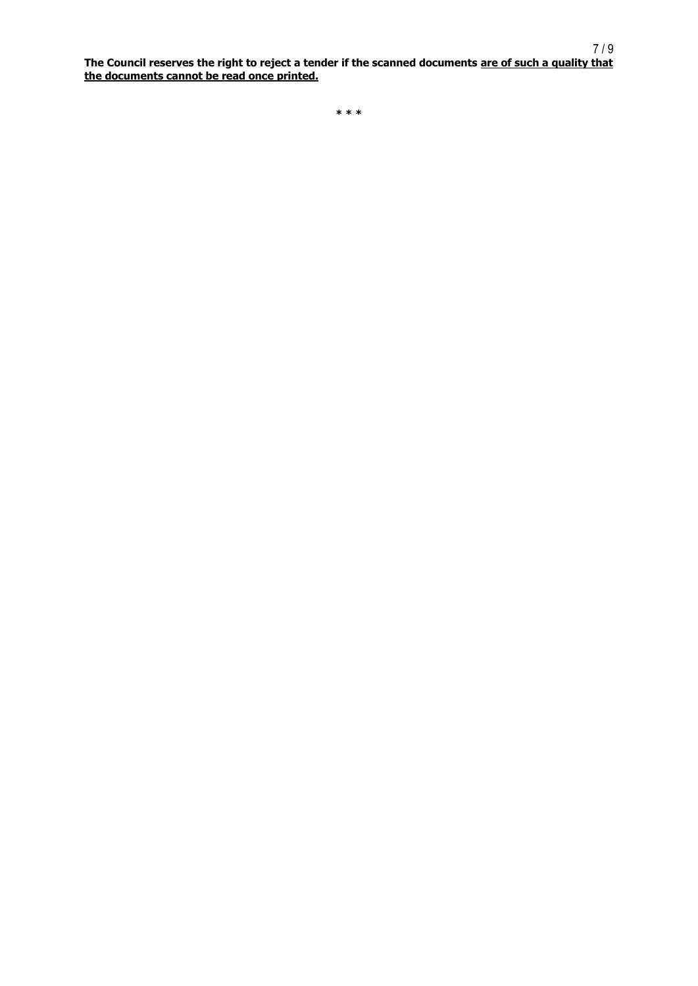<span id="page-6-0"></span>**The Council reserves the right to reject a tender if the scanned documents are of such a quality that the documents cannot be read once printed.**

**\* \* \***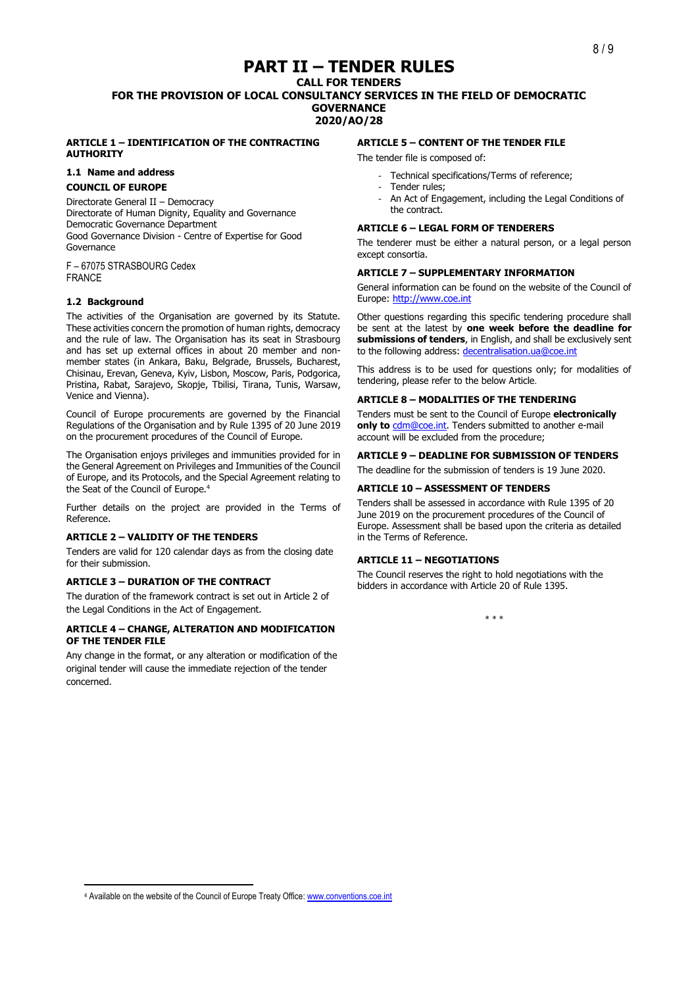# **PART II – TENDER RULES**

**CALL FOR TENDERS FOR THE PROVISION OF LOCAL CONSULTANCY SERVICES IN THE FIELD OF DEMOCRATIC GOVERNANCE 2020/AO/28**

#### **ARTICLE 1 – IDENTIFICATION OF THE CONTRACTING AUTHORITY**

## **1.1 Name and address**

#### **COUNCIL OF EUROPE**

Directorate General II – Democracy Directorate of Human Dignity, Equality and Governance Democratic Governance Department Good Governance Division - Centre of Expertise for Good Governance

F – 67075 STRASBOURG Cedex FRANCE

#### **1.2 Background**

The activities of the Organisation are governed by its Statute. These activities concern the promotion of human rights, democracy and the rule of law. The Organisation has its seat in Strasbourg and has set up external offices in about 20 member and nonmember states (in Ankara, Baku, Belgrade, Brussels, Bucharest, Chisinau, Erevan, Geneva, Kyiv, Lisbon, Moscow, Paris, Podgorica, Pristina, Rabat, Sarajevo, Skopje, Tbilisi, Tirana, Tunis, Warsaw, Venice and Vienna).

Council of Europe procurements are governed by the Financial Regulations of the Organisation and by Rule 1395 of 20 June 2019 on the procurement procedures of the Council of Europe.

The Organisation enjoys privileges and immunities provided for in the General Agreement on Privileges and Immunities of the Council of Europe, and its Protocols, and the Special Agreement relating to the Seat of the Council of Europe.<sup>4</sup>

Further details on the project are provided in the Terms of Reference.

#### **ARTICLE 2 – VALIDITY OF THE TENDERS**

Tenders are valid for 120 calendar days as from the closing date for their submission.

#### **ARTICLE 3 – DURATION OF THE CONTRACT**

The duration of the framework contract is set out in Article 2 of the Legal Conditions in the Act of Engagement.

#### **ARTICLE 4 – CHANGE, ALTERATION AND MODIFICATION OF THE TENDER FILE**

Any change in the format, or any alteration or modification of the original tender will cause the immediate rejection of the tender concerned.

#### **ARTICLE 5 – CONTENT OF THE TENDER FILE**

The tender file is composed of:

- Technical specifications/Terms of reference;
- Tender rules;
- An Act of Engagement, including the Legal Conditions of the contract.

#### **ARTICLE 6 – LEGAL FORM OF TENDERERS**

The tenderer must be either a natural person, or a legal person except consortia.

#### **ARTICLE 7 – SUPPLEMENTARY INFORMATION**

General information can be found on the website of the Council of Europe: [http://www.coe.int](http://www.coe.int/)

Other questions regarding this specific tendering procedure shall be sent at the latest by **one week before the deadline for submissions of tenders**, in English, and shall be exclusively sent to the following address: [decentralisation.ua@coe.int](mailto:decentralisation.ua@coe.int)

This address is to be used for questions only; for modalities of tendering, please refer to the below Article.

#### **ARTICLE 8 – MODALITIES OF THE TENDERING**

Tenders must be sent to the Council of Europe **electronically**  only to **cdm@coe.int**. Tenders submitted to another e-mail account will be excluded from the procedure;

#### **ARTICLE 9 – DEADLINE FOR SUBMISSION OF TENDERS**

The deadline for the submission of tenders is 19 June 2020.

#### **ARTICLE 10 – ASSESSMENT OF TENDERS**

Tenders shall be assessed in accordance with Rule 1395 of 20 June 2019 on the procurement procedures of the Council of Europe. Assessment shall be based upon the criteria as detailed in the Terms of Reference.

#### **ARTICLE 11 – NEGOTIATIONS**

The Council reserves the right to hold negotiations with the bidders in accordance with Article 20 of Rule 1395.

\* \* \*

<sup>4</sup> Available on the website of the Council of Europe Treaty Office[: www.conventions.coe.int](http://www.conventions.coe.int/)